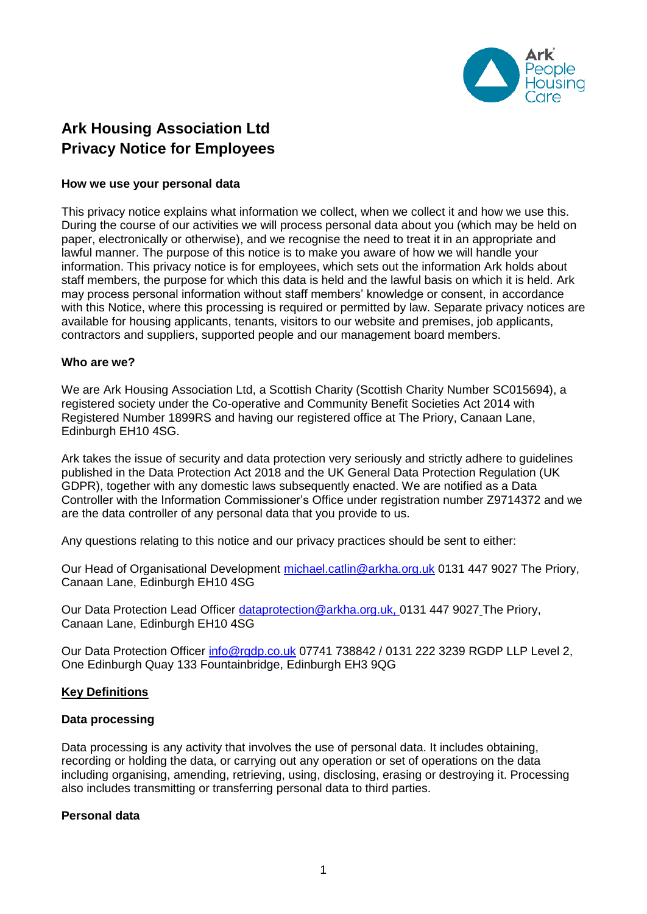

# **Ark Housing Association Ltd Privacy Notice for Employees**

#### **How we use your personal data**

This privacy notice explains what information we collect, when we collect it and how we use this. During the course of our activities we will process personal data about you (which may be held on paper, electronically or otherwise), and we recognise the need to treat it in an appropriate and lawful manner. The purpose of this notice is to make you aware of how we will handle your information. This privacy notice is for employees, which sets out the information Ark holds about staff members, the purpose for which this data is held and the lawful basis on which it is held. Ark may process personal information without staff members' knowledge or consent, in accordance with this Notice, where this processing is required or permitted by law. Separate privacy notices are available for housing applicants, tenants, visitors to our website and premises, job applicants, contractors and suppliers, supported people and our management board members.

#### **Who are we?**

We are Ark Housing Association Ltd, a Scottish Charity (Scottish Charity Number SC015694), a registered society under the Co-operative and Community Benefit Societies Act 2014 with Registered Number 1899RS and having our registered office at The Priory, Canaan Lane, Edinburgh EH10 4SG.

Ark takes the issue of security and data protection very seriously and strictly adhere to guidelines published in the Data Protection Act 2018 and the UK General Data Protection Regulation (UK GDPR), together with any domestic laws subsequently enacted. We are notified as a Data Controller with the Information Commissioner's Office under registration number Z9714372 and we are the data controller of any personal data that you provide to us.

Any questions relating to this notice and our privacy practices should be sent to either:

Our Head of Organisational Development [michael.catlin@arkha.org.uk](mailto:walter.kane@arkha.org.uk) 0131 447 9027 The Priory, Canaan Lane, Edinburgh EH10 4SG

Our Data Protection Lead Officer [dataprotection@arkha.org.uk,](mailto:dataprotection@arkha.org.uk) 0131 447 9027 The Priory, Canaan Lane, Edinburgh EH10 4SG

Our Data Protection Officer [info@rgdp.co.uk](mailto:info@rgdp.co.uk) 07741 738842 / 0131 222 3239 RGDP LLP Level 2, One Edinburgh Quay 133 Fountainbridge, Edinburgh EH3 9QG

## **Key Definitions**

#### **Data processing**

Data processing is any activity that involves the use of personal data. It includes obtaining, recording or holding the data, or carrying out any operation or set of operations on the data including organising, amending, retrieving, using, disclosing, erasing or destroying it. Processing also includes transmitting or transferring personal data to third parties.

# **Personal data**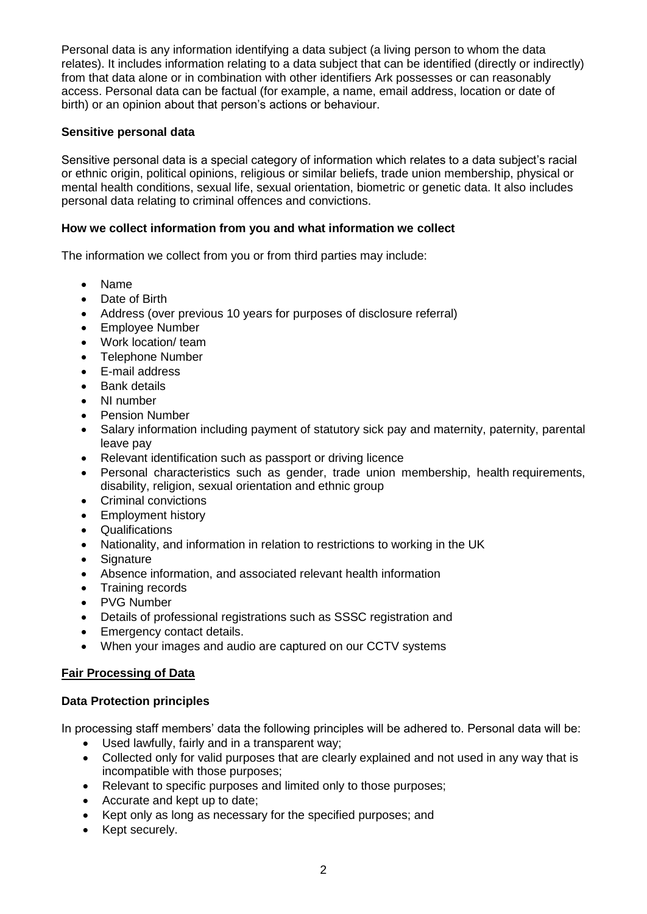Personal data is any information identifying a data subject (a living person to whom the data relates). It includes information relating to a data subject that can be identified (directly or indirectly) from that data alone or in combination with other identifiers Ark possesses or can reasonably access. Personal data can be factual (for example, a name, email address, location or date of birth) or an opinion about that person's actions or behaviour.

# **Sensitive personal data**

Sensitive personal data is a special category of information which relates to a data subject's racial or ethnic origin, political opinions, religious or similar beliefs, trade union membership, physical or mental health conditions, sexual life, sexual orientation, biometric or genetic data. It also includes personal data relating to criminal offences and convictions.

# **How we collect information from you and what information we collect**

The information we collect from you or from third parties may include:

- Name
- Date of Birth
- Address (over previous 10 years for purposes of disclosure referral)
- Employee Number
- Work location/ team
- Telephone Number
- E-mail address
- Bank details
- NI number
- Pension Number
- Salary information including payment of statutory sick pay and maternity, paternity, parental leave pay
- Relevant identification such as passport or driving licence
- Personal characteristics such as gender, trade union membership, health requirements, disability, religion, sexual orientation and ethnic group
- Criminal convictions
- Employment history
- Qualifications
- Nationality, and information in relation to restrictions to working in the UK
- Signature
- Absence information, and associated relevant health information
- Training records
- PVG Number
- Details of professional registrations such as SSSC registration and
- Emergency contact details.
- When your images and audio are captured on our CCTV systems

# **Fair Processing of Data**

## **Data Protection principles**

In processing staff members' data the following principles will be adhered to. Personal data will be:

- Used lawfully, fairly and in a transparent way;
- Collected only for valid purposes that are clearly explained and not used in any way that is incompatible with those purposes;
- Relevant to specific purposes and limited only to those purposes;
- Accurate and kept up to date;
- Kept only as long as necessary for the specified purposes; and
- Kept securely.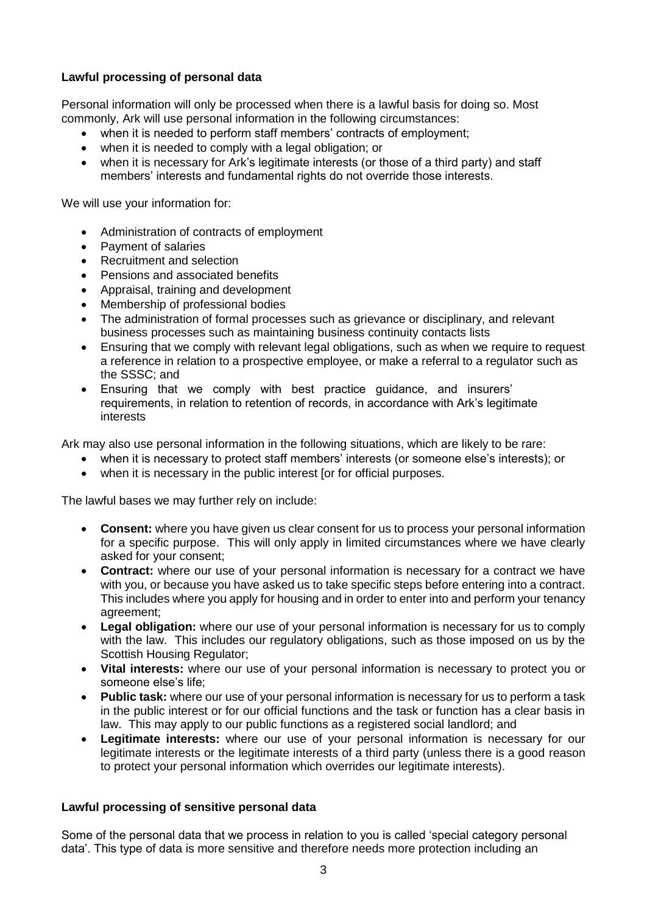# **Lawful processing of personal data**

Personal information will only be processed when there is a lawful basis for doing so. Most commonly, Ark will use personal information in the following circumstances:

- when it is needed to perform staff members' contracts of employment;
- when it is needed to comply with a legal obligation; or
- when it is necessary for Ark's legitimate interests (or those of a third party) and staff members' interests and fundamental rights do not override those interests.

We will use your information for:

- Administration of contracts of employment
- Payment of salaries
- Recruitment and selection
- Pensions and associated benefits
- Appraisal, training and development
- Membership of professional bodies
- The administration of formal processes such as grievance or disciplinary, and relevant business processes such as maintaining business continuity contacts lists
- Ensuring that we comply with relevant legal obligations, such as when we require to request a reference in relation to a prospective employee, or make a referral to a regulator such as the SSSC; and
- Ensuring that we comply with best practice guidance, and insurers' requirements, in relation to retention of records, in accordance with Ark's legitimate interests

Ark may also use personal information in the following situations, which are likely to be rare:

- when it is necessary to protect staff members' interests (or someone else's interests); or
- when it is necessary in the public interest [or for official purposes.

The lawful bases we may further rely on include:

- **Consent:** where you have given us clear consent for us to process your personal information for a specific purpose. This will only apply in limited circumstances where we have clearly asked for your consent;
- **Contract:** where our use of your personal information is necessary for a contract we have with you, or because you have asked us to take specific steps before entering into a contract. This includes where you apply for housing and in order to enter into and perform your tenancy agreement;
- **Legal obligation:** where our use of your personal information is necessary for us to comply with the law. This includes our regulatory obligations, such as those imposed on us by the Scottish Housing Regulator;
- **Vital interests:** where our use of your personal information is necessary to protect you or someone else's life;
- **Public task:** where our use of your personal information is necessary for us to perform a task in the public interest or for our official functions and the task or function has a clear basis in law. This may apply to our public functions as a registered social landlord; and
- **Legitimate interests:** where our use of your personal information is necessary for our legitimate interests or the legitimate interests of a third party (unless there is a good reason to protect your personal information which overrides our legitimate interests).

## **Lawful processing of sensitive personal data**

Some of the personal data that we process in relation to you is called 'special category personal data'. This type of data is more sensitive and therefore needs more protection including an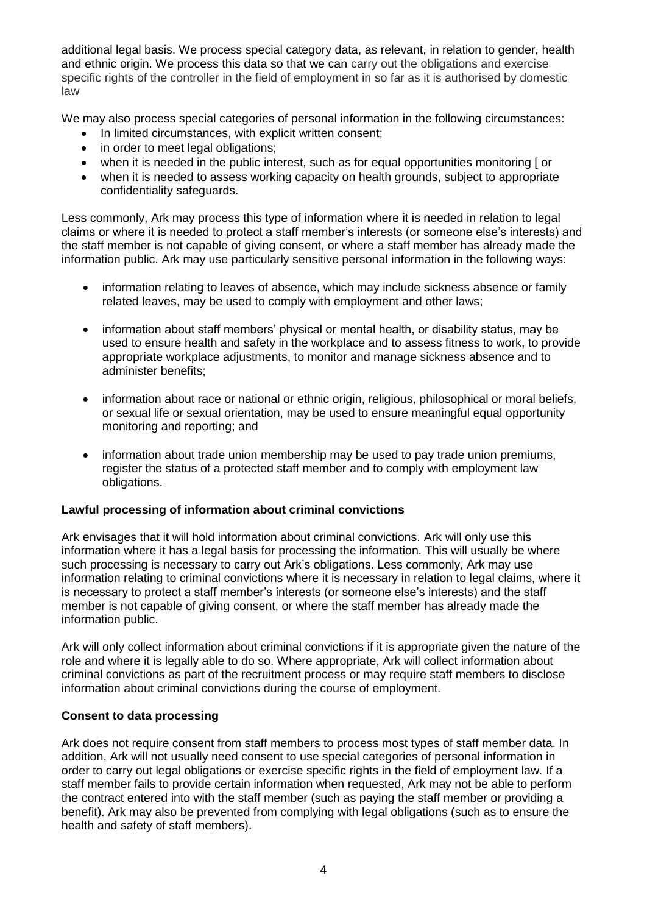additional legal basis. We process special category data, as relevant, in relation to gender, health and ethnic origin. We process this data so that we can carry out the obligations and exercise specific rights of the controller in the field of employment in so far as it is authorised by domestic law

We may also process special categories of personal information in the following circumstances:

- In limited circumstances, with explicit written consent;
- in order to meet legal obligations;
- when it is needed in the public interest, such as for equal opportunities monitoring [ or
- when it is needed to assess working capacity on health grounds, subject to appropriate confidentiality safeguards.

Less commonly, Ark may process this type of information where it is needed in relation to legal claims or where it is needed to protect a staff member's interests (or someone else's interests) and the staff member is not capable of giving consent, or where a staff member has already made the information public. Ark may use particularly sensitive personal information in the following ways:

- information relating to leaves of absence, which may include sickness absence or family related leaves, may be used to comply with employment and other laws;
- information about staff members' physical or mental health, or disability status, may be used to ensure health and safety in the workplace and to assess fitness to work, to provide appropriate workplace adjustments, to monitor and manage sickness absence and to administer benefits;
- information about race or national or ethnic origin, religious, philosophical or moral beliefs, or sexual life or sexual orientation, may be used to ensure meaningful equal opportunity monitoring and reporting; and
- information about trade union membership may be used to pay trade union premiums, register the status of a protected staff member and to comply with employment law obligations.

## **Lawful processing of information about criminal convictions**

Ark envisages that it will hold information about criminal convictions. Ark will only use this information where it has a legal basis for processing the information. This will usually be where such processing is necessary to carry out Ark's obligations. Less commonly, Ark may use information relating to criminal convictions where it is necessary in relation to legal claims, where it is necessary to protect a staff member's interests (or someone else's interests) and the staff member is not capable of giving consent, or where the staff member has already made the information public.

Ark will only collect information about criminal convictions if it is appropriate given the nature of the role and where it is legally able to do so. Where appropriate, Ark will collect information about criminal convictions as part of the recruitment process or may require staff members to disclose information about criminal convictions during the course of employment.

## **Consent to data processing**

Ark does not require consent from staff members to process most types of staff member data. In addition, Ark will not usually need consent to use special categories of personal information in order to carry out legal obligations or exercise specific rights in the field of employment law. If a staff member fails to provide certain information when requested, Ark may not be able to perform the contract entered into with the staff member (such as paying the staff member or providing a benefit). Ark may also be prevented from complying with legal obligations (such as to ensure the health and safety of staff members).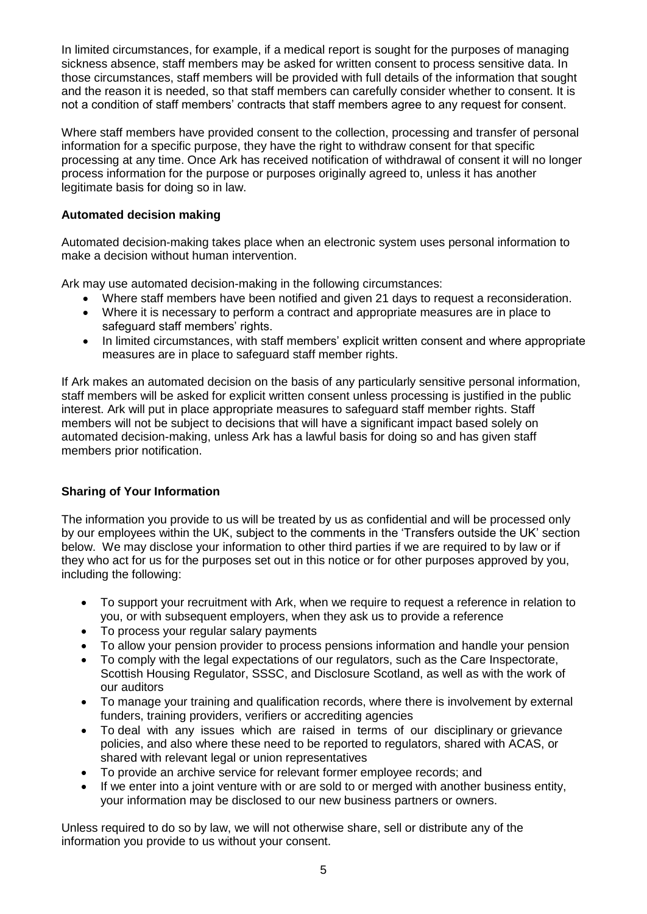In limited circumstances, for example, if a medical report is sought for the purposes of managing sickness absence, staff members may be asked for written consent to process sensitive data. In those circumstances, staff members will be provided with full details of the information that sought and the reason it is needed, so that staff members can carefully consider whether to consent. It is not a condition of staff members' contracts that staff members agree to any request for consent.

Where staff members have provided consent to the collection, processing and transfer of personal information for a specific purpose, they have the right to withdraw consent for that specific processing at any time. Once Ark has received notification of withdrawal of consent it will no longer process information for the purpose or purposes originally agreed to, unless it has another legitimate basis for doing so in law.

# **Automated decision making**

Automated decision-making takes place when an electronic system uses personal information to make a decision without human intervention.

Ark may use automated decision-making in the following circumstances:

- Where staff members have been notified and given 21 days to request a reconsideration.
- Where it is necessary to perform a contract and appropriate measures are in place to safeguard staff members' rights.
- In limited circumstances, with staff members' explicit written consent and where appropriate measures are in place to safeguard staff member rights.

If Ark makes an automated decision on the basis of any particularly sensitive personal information, staff members will be asked for explicit written consent unless processing is justified in the public interest. Ark will put in place appropriate measures to safeguard staff member rights. Staff members will not be subject to decisions that will have a significant impact based solely on automated decision-making, unless Ark has a lawful basis for doing so and has given staff members prior notification.

# **Sharing of Your Information**

The information you provide to us will be treated by us as confidential and will be processed only by our employees within the UK, subject to the comments in the 'Transfers outside the UK' section below. We may disclose your information to other third parties if we are required to by law or if they who act for us for the purposes set out in this notice or for other purposes approved by you, including the following:

- To support your recruitment with Ark, when we require to request a reference in relation to you, or with subsequent employers, when they ask us to provide a reference
- To process your regular salary payments
- To allow your pension provider to process pensions information and handle your pension
- To comply with the legal expectations of our regulators, such as the Care Inspectorate, Scottish Housing Regulator, SSSC, and Disclosure Scotland, as well as with the work of our auditors
- To manage your training and qualification records, where there is involvement by external funders, training providers, verifiers or accrediting agencies
- To deal with any issues which are raised in terms of our disciplinary or grievance policies, and also where these need to be reported to regulators, shared with ACAS, or shared with relevant legal or union representatives
- To provide an archive service for relevant former employee records; and
- If we enter into a joint venture with or are sold to or merged with another business entity, your information may be disclosed to our new business partners or owners.

Unless required to do so by law, we will not otherwise share, sell or distribute any of the information you provide to us without your consent.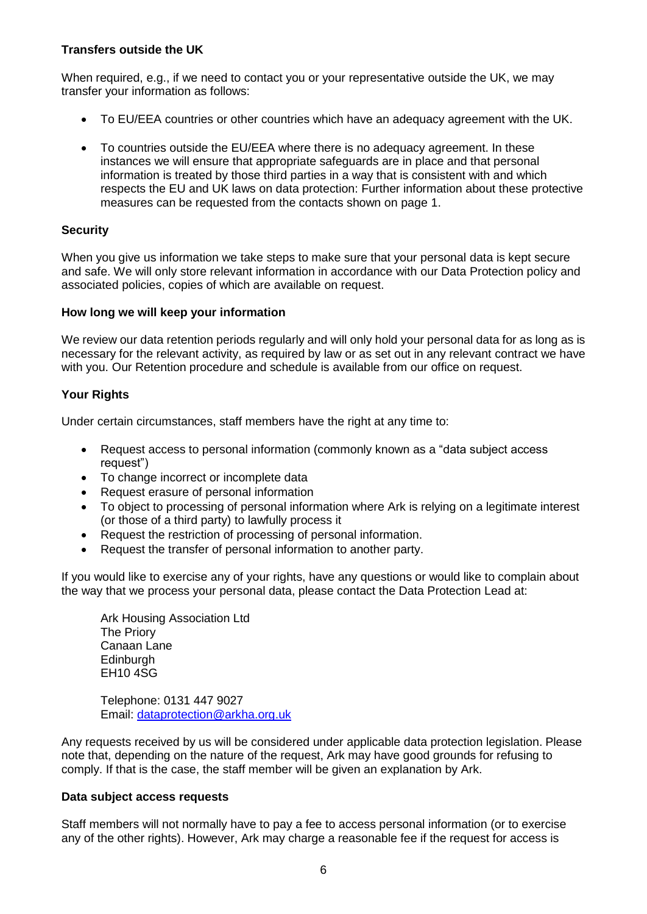# **Transfers outside the UK**

When required, e.g., if we need to contact you or your representative outside the UK, we may transfer your information as follows:

- To EU/EEA countries or other countries which have an adequacy agreement with the UK.
- To countries outside the EU/EEA where there is no adequacy agreement. In these instances we will ensure that appropriate safeguards are in place and that personal information is treated by those third parties in a way that is consistent with and which respects the EU and UK laws on data protection: Further information about these protective measures can be requested from the contacts shown on page 1.

# **Security**

When you give us information we take steps to make sure that your personal data is kept secure and safe. We will only store relevant information in accordance with our Data Protection policy and associated policies, copies of which are available on request.

# **How long we will keep your information**

We review our data retention periods regularly and will only hold your personal data for as long as is necessary for the relevant activity, as required by law or as set out in any relevant contract we have with you. Our Retention procedure and schedule is available from our office on request.

# **Your Rights**

Under certain circumstances, staff members have the right at any time to:

- Request access to personal information (commonly known as a "data subject access request")
- To change incorrect or incomplete data
- Request erasure of personal information
- To object to processing of personal information where Ark is relying on a legitimate interest (or those of a third party) to lawfully process it
- Request the restriction of processing of personal information.
- Request the transfer of personal information to another party.

If you would like to exercise any of your rights, have any questions or would like to complain about the way that we process your personal data, please contact the Data Protection Lead at:

Ark Housing Association Ltd The Priory Canaan Lane **Edinburgh** EH10 4SG

Telephone: 0131 447 9027 Email: [dataprotection@arkha.org.uk](mailto:dataprotection@arkha.org.uk)

Any requests received by us will be considered under applicable data protection legislation. Please note that, depending on the nature of the request, Ark may have good grounds for refusing to comply. If that is the case, the staff member will be given an explanation by Ark.

## **Data subject access requests**

Staff members will not normally have to pay a fee to access personal information (or to exercise any of the other rights). However, Ark may charge a reasonable fee if the request for access is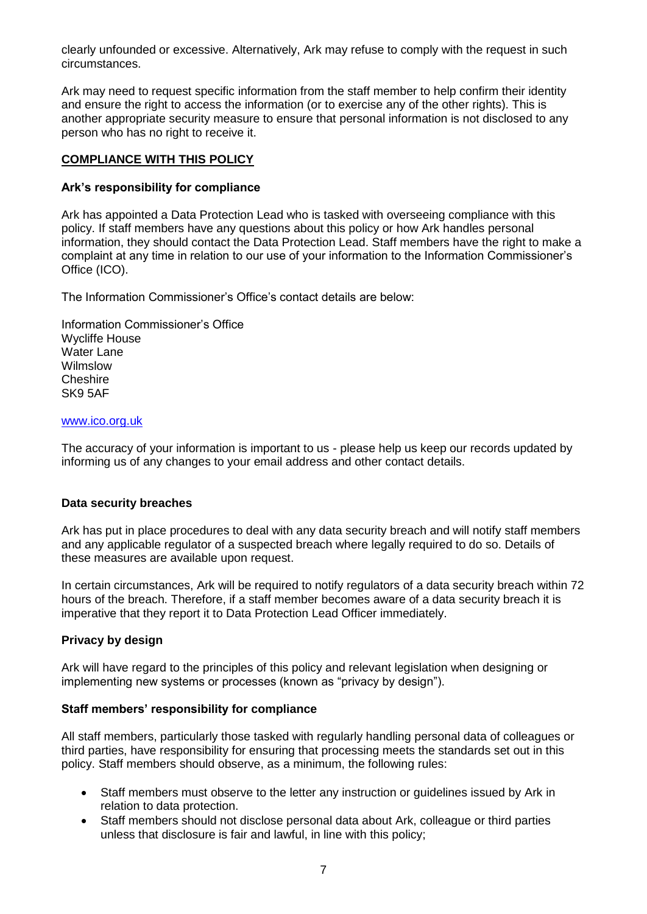clearly unfounded or excessive. Alternatively, Ark may refuse to comply with the request in such circumstances.

Ark may need to request specific information from the staff member to help confirm their identity and ensure the right to access the information (or to exercise any of the other rights). This is another appropriate security measure to ensure that personal information is not disclosed to any person who has no right to receive it.

# **COMPLIANCE WITH THIS POLICY**

# **Ark's responsibility for compliance**

Ark has appointed a Data Protection Lead who is tasked with overseeing compliance with this policy. If staff members have any questions about this policy or how Ark handles personal information, they should contact the Data Protection Lead. Staff members have the right to make a complaint at any time in relation to our use of your information to the Information Commissioner's Office (ICO).

The Information Commissioner's Office's contact details are below:

Information Commissioner's Office Wycliffe House Water Lane Wilmslow **Cheshire** SK9 5AF

#### [www.ico.org.uk](http://www.ico.org.uk/)

The accuracy of your information is important to us - please help us keep our records updated by informing us of any changes to your email address and other contact details.

## **Data security breaches**

Ark has put in place procedures to deal with any data security breach and will notify staff members and any applicable regulator of a suspected breach where legally required to do so. Details of these measures are available upon request.

In certain circumstances, Ark will be required to notify regulators of a data security breach within 72 hours of the breach. Therefore, if a staff member becomes aware of a data security breach it is imperative that they report it to Data Protection Lead Officer immediately.

## **Privacy by design**

Ark will have regard to the principles of this policy and relevant legislation when designing or implementing new systems or processes (known as "privacy by design").

## **Staff members' responsibility for compliance**

All staff members, particularly those tasked with regularly handling personal data of colleagues or third parties, have responsibility for ensuring that processing meets the standards set out in this policy. Staff members should observe, as a minimum, the following rules:

- Staff members must observe to the letter any instruction or guidelines issued by Ark in relation to data protection.
- Staff members should not disclose personal data about Ark, colleague or third parties unless that disclosure is fair and lawful, in line with this policy;